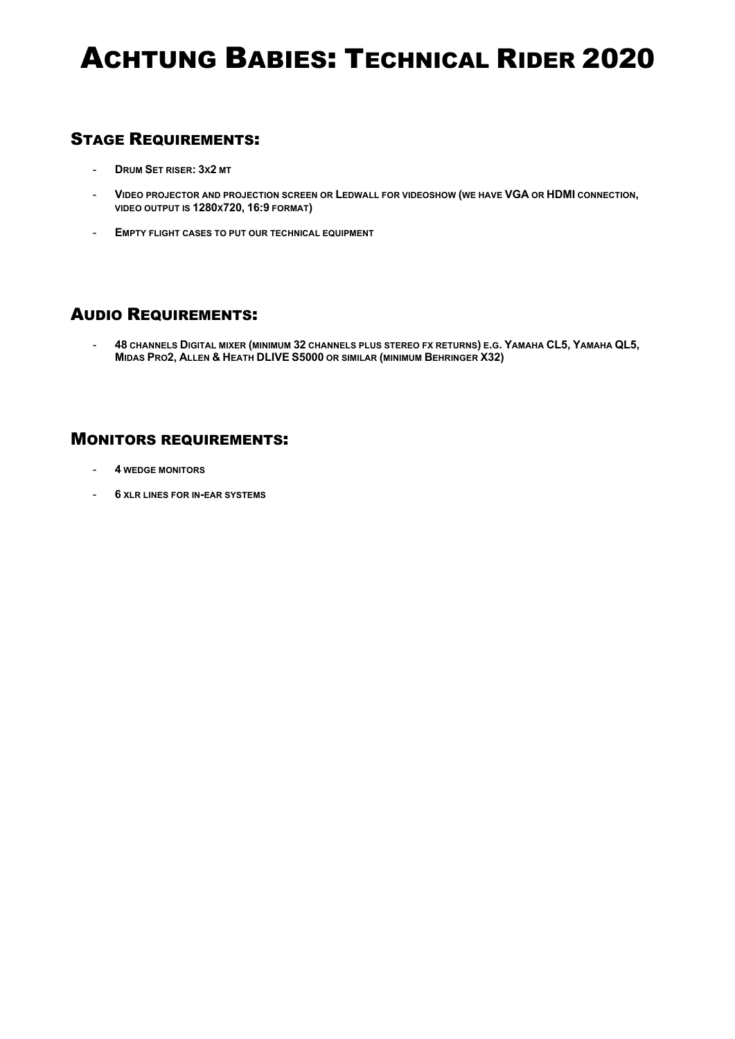# ACHTUNG BABIES: TECHNICAL RIDER 2020

### STAGE REQUIREMENTS:

- **DRUM SET RISER: 3X2 MT**
- **VIDEO PROJECTOR AND PROJECTION SCREEN OR LEDWALL FOR VIDEOSHOW (WE HAVE VGA OR HDMI CONNECTION, VIDEO OUTPUT IS 1280X720, 16:9 FORMAT)**
- **EMPTY FLIGHT CASES TO PUT OUR TECHNICAL EQUIPMENT**

### AUDIO REQUIREMENTS:

- **48 CHANNELS DIGITAL MIXER (MINIMUM 32 CHANNELS PLUS STEREO FX RETURNS) E.G. YAMAHA CL5, YAMAHA QL5, MIDAS PRO2, ALLEN & HEATH DLIVE S5000 OR SIMILAR (MINIMUM BEHRINGER X32)**

### MONITORS REQUIREMENTS:

- **4 WEDGE MONITORS**
- **6 XLR LINES FOR IN-EAR SYSTEMS**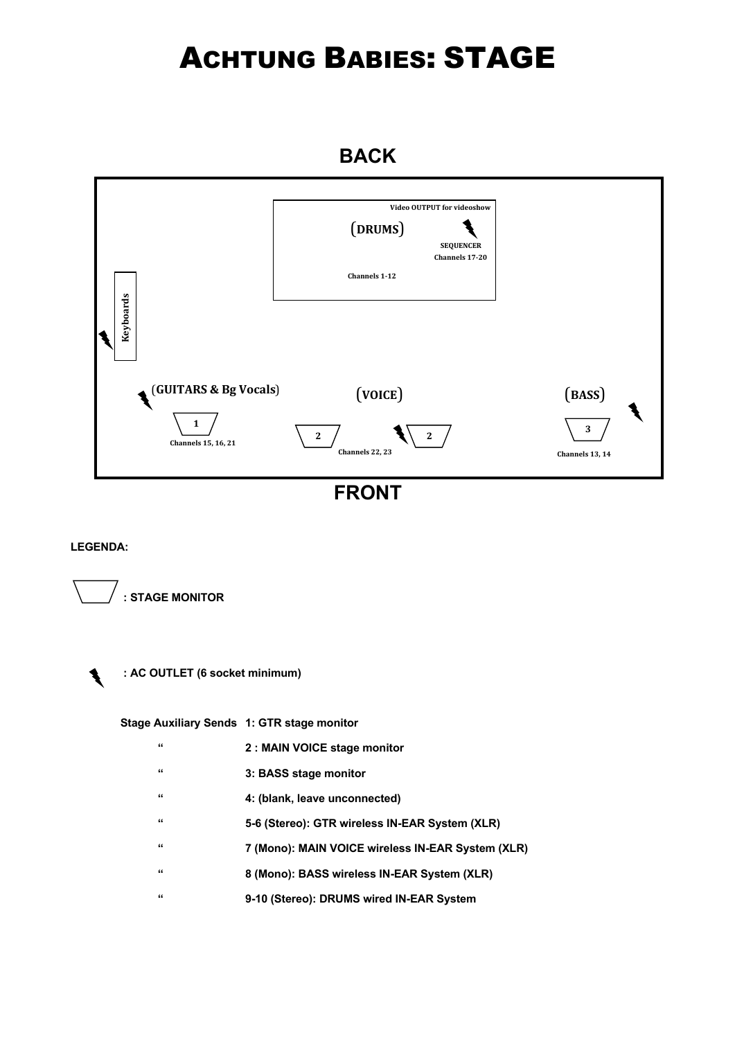# ACHTUNG BABIES: STAGE

### **BACK**



**FRONT**

#### **LEGENDA:**





 **Stage Auxiliary Sends 1: GTR stage monitor**

- **" 2 : MAIN VOICE stage monitor**
- **" 3: BASS stage monitor**
- **" 4: (blank, leave unconnected)**
- **" 5-6 (Stereo): GTR wireless IN-EAR System (XLR)**
- **" 7 (Mono): MAIN VOICE wireless IN-EAR System (XLR)**
- **" 8 (Mono): BASS wireless IN-EAR System (XLR)**
- **" 9-10 (Stereo): DRUMS wired IN-EAR System**